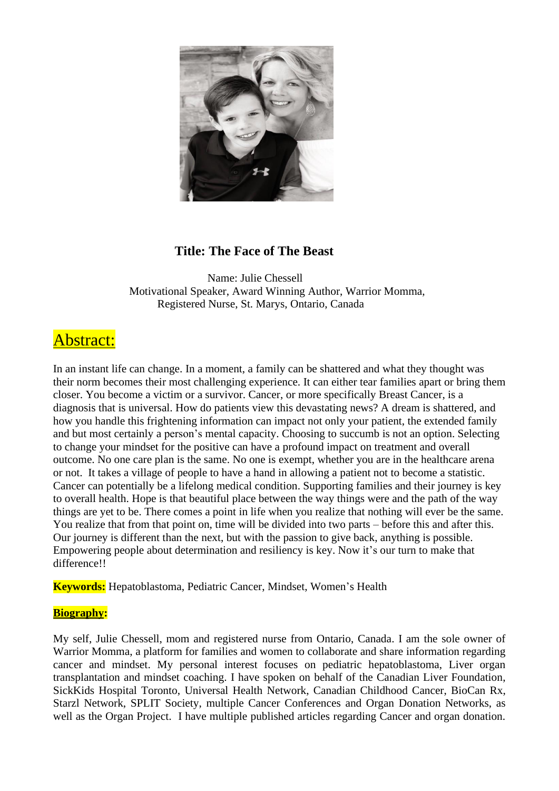

## **Title: The Face of The Beast**

Name: Julie Chessell Motivational Speaker, Award Winning Author, Warrior Momma, Registered Nurse, St. Marys, Ontario, Canada

## Abstract:

In an instant life can change. In a moment, a family can be shattered and what they thought was their norm becomes their most challenging experience. It can either tear families apart or bring them closer. You become a victim or a survivor. Cancer, or more specifically Breast Cancer, is a diagnosis that is universal. How do patients view this devastating news? A dream is shattered, and how you handle this frightening information can impact not only your patient, the extended family and but most certainly a person's mental capacity. Choosing to succumb is not an option. Selecting to change your mindset for the positive can have a profound impact on treatment and overall outcome. No one care plan is the same. No one is exempt, whether you are in the healthcare arena or not. It takes a village of people to have a hand in allowing a patient not to become a statistic. Cancer can potentially be a lifelong medical condition. Supporting families and their journey is key to overall health. Hope is that beautiful place between the way things were and the path of the way things are yet to be. There comes a point in life when you realize that nothing will ever be the same. You realize that from that point on, time will be divided into two parts – before this and after this. Our journey is different than the next, but with the passion to give back, anything is possible. Empowering people about determination and resiliency is key. Now it's our turn to make that difference!!

**Keywords:** Hepatoblastoma, Pediatric Cancer, Mindset, Women's Health

## **Biography:**

My self, Julie Chessell, mom and registered nurse from Ontario, Canada. I am the sole owner of Warrior Momma, a platform for families and women to collaborate and share information regarding cancer and mindset. My personal interest focuses on pediatric hepatoblastoma, Liver organ transplantation and mindset coaching. I have spoken on behalf of the Canadian Liver Foundation, SickKids Hospital Toronto, Universal Health Network, Canadian Childhood Cancer, BioCan Rx, Starzl Network, SPLIT Society, multiple Cancer Conferences and Organ Donation Networks, as well as the Organ Project. I have multiple published articles regarding Cancer and organ donation.